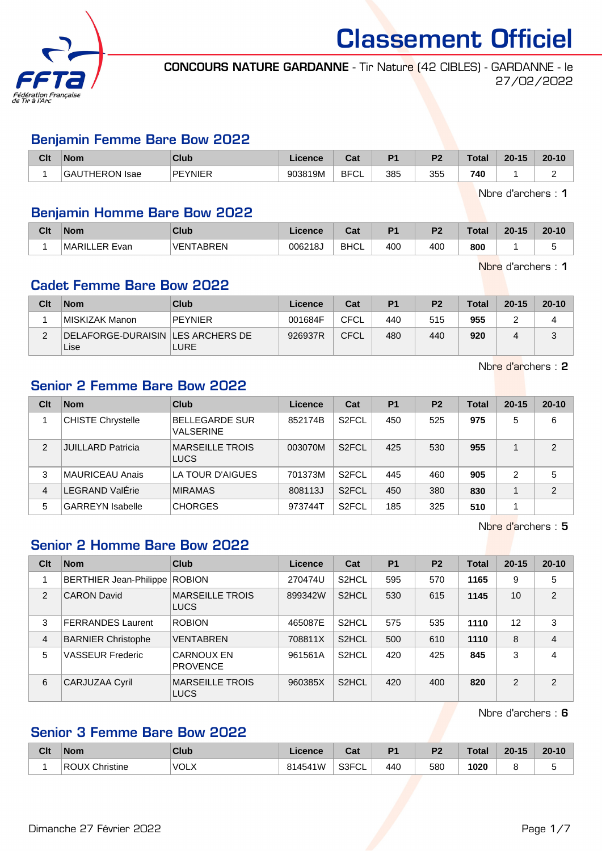

CONCOURS NATURE GARDANNE - Tir Nature (42 CIBLES) - GARDANNE - le 27/02/2022

#### Benjamin Femme Bare Bow 2022

| Clt | <b>Nom</b>                  | Club           | Licence | $\sim$<br>uai    | D <sub>4</sub> | D <sub>2</sub> | $\tau$ otal | $20 - 15$ | $20 - 10$ |
|-----|-----------------------------|----------------|---------|------------------|----------------|----------------|-------------|-----------|-----------|
|     | <b>JTHERON Isae</b><br>'GAL | <b>PEYNIFR</b> | 903819M | <b>BFC</b><br>◡∟ | 385            | 355            | 740         |           |           |

Nbre d'archers : 1

### Benjamin Homme Bare Bow 2022

| Clt | <b>Nom</b>         | Club       | icence  | ⊶ ∼<br>⊍a   | D <sub>1</sub> | D <sub>2</sub> | Total | $20 - 15$ | $20 - 10$ |
|-----|--------------------|------------|---------|-------------|----------------|----------------|-------|-----------|-----------|
|     | MARILI<br>∟ER Evan | VENTABREN! | 006218J | <b>BHCL</b> | 400            | 400            | 800   |           |           |

Nbre d'archers : 1

## Cadet Femme Bare Bow 2022

| Clt | <b>Nom</b>                                  | Club           | Licence | Cat         | P <sub>1</sub> | P <sub>2</sub> | <b>Total</b> | $20 - 15$ | $20 - 10$ |
|-----|---------------------------------------------|----------------|---------|-------------|----------------|----------------|--------------|-----------|-----------|
|     | MISKIZAK Manon                              | <b>PEYNIER</b> | 001684F | <b>CFCL</b> | 440            | 515            | 955          |           |           |
|     | DELAFORGE-DURAISIN   LES ARCHERS DE<br>Lise | <b>LURE</b>    | 926937R | <b>CFCL</b> | 480            | 440            | 920          |           |           |

Nbre d'archers : 2

## Senior 2 Femme Bare Bow 2022

| Clt | <b>Nom</b>               | <b>Club</b>                               | Licence | Cat                | P <sub>1</sub> | P <sub>2</sub> | <b>Total</b> | $20 - 15$ | $20 - 10$      |
|-----|--------------------------|-------------------------------------------|---------|--------------------|----------------|----------------|--------------|-----------|----------------|
|     | <b>CHISTE Chrystelle</b> | <b>BELLEGARDE SUR</b><br><b>VALSERINE</b> | 852174B | S <sub>2</sub> FCL | 450            | 525            | 975          | 5         | 6              |
| 2   | <b>JUILLARD Patricia</b> | <b>MARSEILLE TROIS</b><br><b>LUCS</b>     | 003070M | S <sub>2</sub> FCL | 425            | 530            | 955          |           | $\overline{2}$ |
| 3   | <b>MAURICEAU Anais</b>   | LA TOUR D'AIGUES                          | 701373M | S <sub>2</sub> FCL | 445            | 460            | 905          | 2         | 5              |
| 4   | _EGRAND ValÉrie          | <b>MIRAMAS</b>                            | 808113J | S <sub>2</sub> FCL | 450            | 380            | 830          |           | $\overline{2}$ |
| 5   | <b>GARREYN Isabelle</b>  | <b>CHORGES</b>                            | 973744T | S <sub>2</sub> FCL | 185            | 325            | 510          |           |                |

Nbre d'archers : 5

## Senior 2 Homme Bare Bow 2022

| Clt            | <b>Nom</b>                | <b>Club</b>                           | Licence | Cat                | P <sub>1</sub> | P <sub>2</sub> | <b>Total</b> | $20 - 15$     | $20 - 10$      |
|----------------|---------------------------|---------------------------------------|---------|--------------------|----------------|----------------|--------------|---------------|----------------|
|                | BERTHIER Jean-Philippe    | <b>ROBION</b>                         | 270474U | S <sub>2</sub> HCL | 595            | 570            | 1165         | 9             | 5              |
| 2              | <b>CARON David</b>        | <b>MARSEILLE TROIS</b><br><b>LUCS</b> | 899342W | S <sub>2</sub> HCL | 530            | 615            | 1145         | 10            | 2              |
| 3              | <b>FERRANDES Laurent</b>  | <b>ROBION</b>                         | 465087E | S <sub>2</sub> HCL | 575            | 535            | 1110         | 12            | 3              |
| $\overline{4}$ | <b>BARNIER Christophe</b> | <b>VENTABREN</b>                      | 708811X | S <sub>2</sub> HCL | 500            | 610            | 1110         | 8             | $\overline{4}$ |
| 5              | <b>VASSEUR Frederic</b>   | <b>CARNOUX EN</b><br><b>PROVENCE</b>  | 961561A | S <sub>2</sub> HCL | 420            | 425            | 845          | 3             | $\overline{4}$ |
| 6              | <b>CARJUZAA Cyril</b>     | <b>MARSEILLE TROIS</b><br><b>LUCS</b> | 960385X | S <sub>2</sub> HCL | 420            | 400            | 820          | $\mathcal{P}$ | $\mathcal{P}$  |

Nbre d'archers : 6

## Senior 3 Femme Bare Bow 2022

| Clt | <b>Nom</b>     | Club        | <sub>-</sub> icence | $R_{\rm{eff}}$<br>val | D <sub>1</sub> | D <sub>0</sub><br>. . | <b>Total</b> | 20-15<br>$\Omega$ | $20 - 10$ |
|-----|----------------|-------------|---------------------|-----------------------|----------------|-----------------------|--------------|-------------------|-----------|
|     | ROUX Christine | <b>VOLX</b> | 814541W             | S3FCL                 | 440            | 580                   | 1020         |                   |           |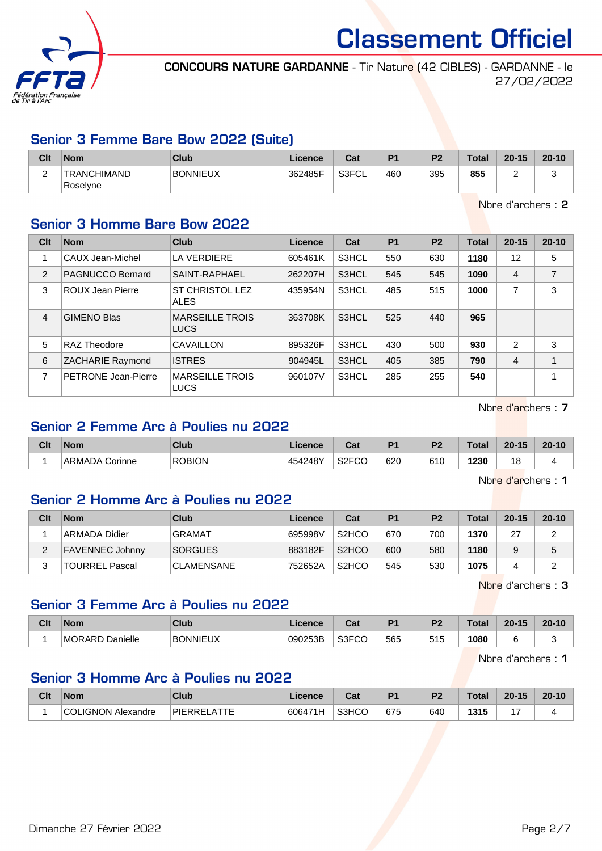

CONCOURS NATURE GARDANNE - Tir Nature (42 CIBLES) - GARDANNE - le 27/02/2022

### Senior 3 Femme Bare Bow 2022 (Suite)

| Clt | <b>Nom</b>              | Club            | Licence | Cat   | D <sub>1</sub> | P <sub>2</sub> | <b>Total</b> | $20 - 15$ | $20 - 10$ |
|-----|-------------------------|-----------------|---------|-------|----------------|----------------|--------------|-----------|-----------|
| -   | TRANCHIMAND<br>Roselyne | <b>BONNIEUX</b> | 362485F | S3FCL | 460            | 395            | 855          |           | -<br>∼    |

Nbre d'archers : 2

## Senior 3 Homme Bare Bow 2022

| Clt            | <b>Nom</b>                 | <b>Club</b>                           | Licence | Cat   | <b>P1</b> | P <sub>2</sub> | <b>Total</b> | $20 - 15$      | $20 - 10$ |
|----------------|----------------------------|---------------------------------------|---------|-------|-----------|----------------|--------------|----------------|-----------|
| 1              | CAUX Jean-Michel           | <b>LA VERDIERE</b>                    | 605461K | S3HCL | 550       | 630            | 1180         | 12             | 5         |
| 2              | PAGNUCCO Bernard           | SAINT-RAPHAEL                         | 262207H | S3HCL | 545       | 545            | 1090         | $\overline{4}$ | 7         |
| 3              | ROUX Jean Pierre           | <b>ST CHRISTOL LEZ</b><br><b>ALES</b> | 435954N | S3HCL | 485       | 515            | 1000         |                | 3         |
| $\overline{4}$ | <b>GIMENO Blas</b>         | <b>MARSEILLE TROIS</b><br><b>LUCS</b> | 363708K | S3HCL | 525       | 440            | 965          |                |           |
| 5              | <b>RAZ Theodore</b>        | CAVAILLON                             | 895326F | S3HCL | 430       | 500            | 930          | 2              | 3         |
| 6              | ZACHARIE Raymond           | <b>ISTRES</b>                         | 904945L | S3HCL | 405       | 385            | 790          | $\overline{4}$ | 1         |
| 7              | <b>PETRONE Jean-Pierre</b> | <b>MARSEILLE TROIS</b><br><b>LUCS</b> | 960107V | S3HCL | 285       | 255            | 540          |                | A         |

Nbre d'archers : 7

## Senior 2 Femme Arc à Poulies nu 2022

| Clt | <b>Nom</b>        | Club          | Licence | <b>DAL</b><br>ual  | D <sub>4</sub> | D <sub>2</sub> | Total | $20 - 15$ | $20 - 10$ |
|-----|-------------------|---------------|---------|--------------------|----------------|----------------|-------|-----------|-----------|
|     | Corinne<br>ARMADA | <b>ROBION</b> | 454248Y | S <sub>2</sub> FCO | 620            | 610            | 1230  | 1 O<br>O  |           |

Nbre d'archers : 1

#### Senior 2 Homme Arc à Poulies nu 2022

| Clt | <b>Nom</b>             | Club              | Licence | Cat                | P <sub>1</sub> | P <sub>2</sub> | Total | $20 - 15$ | $20 - 10$ |
|-----|------------------------|-------------------|---------|--------------------|----------------|----------------|-------|-----------|-----------|
|     | ∣ARMADA Didier         | <b>GRAMAT</b>     | 695998V | S <sub>2</sub> HCO | 670            | 700            | 1370  | 27        | ົ         |
| ∠   | <b>FAVENNEC Johnny</b> | <b>SORGUES</b>    | 883182F | S <sub>2</sub> HCO | 600            | 580            | 1180  |           | 5         |
|     | TOURREL Pascal         | <b>CLAMENSANE</b> | 752652A | S <sub>2</sub> HCO | 545            | 530            | 1075  |           | ົ         |

Nbre d'archers : 3

## Senior 3 Femme Arc à Poulies nu 2022

| Clt | <b>Nom</b>         | Club     | icence  | ∩~∙<br>⊍a | D <sub>1</sub> | D0         | <b>Total</b> | $20 - 15$ | $20 - 10$ |
|-----|--------------------|----------|---------|-----------|----------------|------------|--------------|-----------|-----------|
|     | Danielle<br>MORARD | BONNIEUX | 090253B | S3FCO     | 565            | 515<br>∪ ເ | 1080         |           | . .       |

Nbre d'archers : 1

## Senior 3 Homme Arc à Poulies nu 2022

| Clt | <b>Nom</b>                | <b>Club</b>           | .icence | ⊍a⊧   | D <sub>4</sub> | D <sub>2</sub> | <b>Total</b> | $20 - 15$ | $20 - 10$ |
|-----|---------------------------|-----------------------|---------|-------|----------------|----------------|--------------|-----------|-----------|
|     | <b>COLIGNON Alexandre</b> | $-$<br><b>PIERREI</b> | 606471H | S3HCO | 675            | 640            | 1315         |           |           |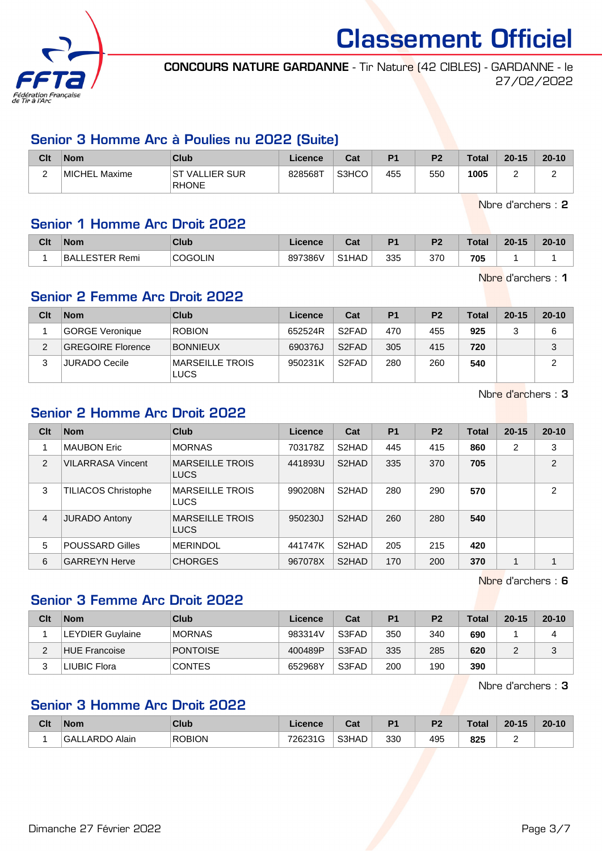

CONCOURS NATURE GARDANNE - Tir Nature (42 CIBLES) - GARDANNE - le 27/02/2022

### Senior 3 Homme Arc à Poulies nu 2022 (Suite)

| Clt                                  | <b>Nom</b>    | Club                            | Licence | Cat   | P <sub>1</sub> | P <sub>2</sub> | <b>Total</b> | $20 - 15$ | $20 - 10$ |
|--------------------------------------|---------------|---------------------------------|---------|-------|----------------|----------------|--------------|-----------|-----------|
| $\overline{\phantom{0}}$<br><u>.</u> | MICHEL Maxime | IST VALLIER SUR<br><b>RHONE</b> | 828568T | S3HCO | 455            | 550            | 1005         |           |           |

Nbre d'archers : 2

## Senior 1 Homme Arc Droit 2022

| Clt | <b>Nom</b>           | <b>Club</b>    | Licence | ו ה<br>uai         | D <sub>1</sub> | P <sub>2</sub> | <b>Total</b> | $20 - 15$ | $20 - 10$ |
|-----|----------------------|----------------|---------|--------------------|----------------|----------------|--------------|-----------|-----------|
|     | LESTER Remi<br>`BAL. | <b>COGOLIN</b> | 897386V | S <sub>1</sub> HAD | 335            | 370            | 705          |           |           |

Nbre d'archers : 1

## Senior 2 Femme Arc Droit 2022

| Clt | <b>Nom</b>               | Club                                  | Licence | Cat                | <b>P1</b> | P <sub>2</sub> | Total | $20 - 15$ | $20 - 10$ |
|-----|--------------------------|---------------------------------------|---------|--------------------|-----------|----------------|-------|-----------|-----------|
|     | GORGE Veronique          | <b>ROBION</b>                         | 652524R | S <sub>2</sub> FAD | 470       | 455            | 925   |           | 6         |
| ◠   | <b>GREGOIRE Florence</b> | <b>BONNIEUX</b>                       | 690376J | S <sub>2</sub> FAD | 305       | 415            | 720   |           | 3         |
|     | <b>JURADO Cecile</b>     | <b>MARSEILLE TROIS</b><br><b>LUCS</b> | 950231K | S <sub>2</sub> FAD | 280       | 260            | 540   |           | っ         |

Nbre d'archers : 3

## Senior 2 Homme Arc Droit 2022

| Clt            | <b>Nom</b>                 | Club                                  | Licence | Cat                | <b>P1</b> | <b>P2</b> | <b>Total</b> | $20 - 15$ | $20 - 10$      |
|----------------|----------------------------|---------------------------------------|---------|--------------------|-----------|-----------|--------------|-----------|----------------|
|                | <b>MAUBON Eric</b>         | <b>MORNAS</b>                         | 703178Z | S <sub>2</sub> HAD | 445       | 415       | 860          | 2         | 3              |
| 2              | <b>VILARRASA Vincent</b>   | <b>MARSEILLE TROIS</b><br><b>LUCS</b> | 441893U | S <sub>2</sub> HAD | 335       | 370       | 705          |           | $\overline{2}$ |
| 3              | <b>TILIACOS Christophe</b> | <b>MARSEILLE TROIS</b><br><b>LUCS</b> | 990208N | S <sub>2</sub> HAD | 280       | 290       | 570          |           | $\mathfrak{p}$ |
| $\overline{4}$ | <b>JURADO Antony</b>       | <b>MARSEILLE TROIS</b><br><b>LUCS</b> | 950230J | S <sub>2</sub> HAD | 260       | 280       | 540          |           |                |
| 5              | <b>POUSSARD Gilles</b>     | <b>MERINDOL</b>                       | 441747K | S <sub>2</sub> HAD | 205       | 215       | 420          |           |                |
| 6              | <b>GARREYN Herve</b>       | <b>CHORGES</b>                        | 967078X | S <sub>2</sub> HAD | 170       | 200       | 370          |           |                |

Nbre d'archers : 6

## Senior 3 Femme Arc Droit 2022

| Clt | <b>Nom</b>              | Club            | Licence | Cat   | P <sub>1</sub> | P <sub>2</sub> | <b>Total</b> | $20 - 15$ | $20 - 10$ |
|-----|-------------------------|-----------------|---------|-------|----------------|----------------|--------------|-----------|-----------|
|     | <b>LEYDIER Guylaine</b> | <b>MORNAS</b>   | 983314V | S3FAD | 350            | 340            | 690          |           |           |
|     | HUE Francoise           | <b>PONTOISE</b> | 400489P | S3FAD | 335            | 285            | 620          |           | J         |
|     | LIUBIC Flora            | <b>CONTES</b>   | 652968Y | S3FAD | 200            | 190            | 390          |           |           |

Nbre d'archers : 3

## Senior 3 Homme Arc Droit 2022

| Clt | <b>Nom</b>              | <b>Club</b>   | Licence | <b>Dat</b><br>ual | D <sub>1</sub> | D <sub>2</sub> | <b>Total</b> | $20 - 15$ | $20 - 10$ |
|-----|-------------------------|---------------|---------|-------------------|----------------|----------------|--------------|-----------|-----------|
|     | Alain<br>LARDC<br>`GALı | <b>ROBION</b> | 726231G | S3HAD             | 330            | 495            | 825          |           |           |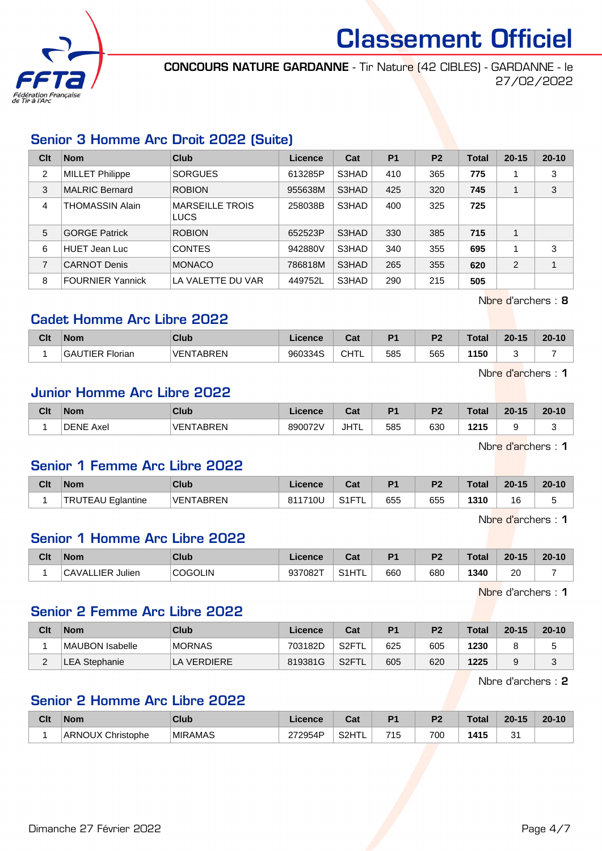

CONCOURS NATURE GARDANNE - Tir Nature (42 CIBLES) - GARDANNE - le 27/02/2022

## Senior 3 Homme Arc Droit 2022 (Suite)

| Clt | <b>Nom</b>              | Club                                  | Licence | Cat   | <b>P1</b> | P <sub>2</sub> | Total | $20 - 15$ | $20 - 10$               |
|-----|-------------------------|---------------------------------------|---------|-------|-----------|----------------|-------|-----------|-------------------------|
| 2   | <b>MILLET Philippe</b>  | <b>SORGUES</b>                        | 613285P | S3HAD | 410       | 365            | 775   |           | 3                       |
| 3   | <b>MALRIC Bernard</b>   | <b>ROBION</b>                         | 955638M | S3HAD | 425       | 320            | 745   |           | 3                       |
| 4   | <b>THOMASSIN Alain</b>  | <b>MARSEILLE TROIS</b><br><b>LUCS</b> | 258038B | S3HAD | 400       | 325            | 725   |           |                         |
| 5   | <b>GORGE Patrick</b>    | <b>ROBION</b>                         | 652523P | S3HAD | 330       | 385            | 715   |           |                         |
| 6   | <b>HUET Jean Luc</b>    | <b>CONTES</b>                         | 942880V | S3HAD | 340       | 355            | 695   |           | 3                       |
| 7   | <b>CARNOT Denis</b>     | <b>MONACO</b>                         | 786818M | S3HAD | 265       | 355            | 620   | 2         | $\overline{\mathbf{A}}$ |
| 8   | <b>FOURNIER Yannick</b> | LA VALETTE DU VAR                     | 449752L | S3HAD | 290       | 215            | 505   |           |                         |

Nbre d'archers : 8

## Cadet Homme Arc Libre 2022

| Clt | <b>Nom</b>      | Club                  | Licence | r.,<br>⊍aι | D <sub>4</sub> | D <sub>2</sub> | Total | $20 - 15$ | $20 - 10$ |
|-----|-----------------|-----------------------|---------|------------|----------------|----------------|-------|-----------|-----------|
|     | 'IFR<br>Florian | TARRFN<br><b>VENT</b> | 960334S | CHTL       | 585            | 565            | 1150  |           |           |

Nbre d'archers : 1

#### Junior Homme Arc Libre 2022

| Clt | <b>Nom</b>          | <b>Club</b>    | Licence | Cat  | D4  | D <sub>0</sub> | Total         | $20 - 15$ | $20 - 10$ |
|-----|---------------------|----------------|---------|------|-----|----------------|---------------|-----------|-----------|
|     | <b>DENE</b><br>Axel | TABREN<br>VENI | 890072V | JHTL | 585 | 630            | 04E<br>14 I J |           |           |

Nbre d'archers : 1

## Senior 1 Femme Arc Libre 2022

| Clt | <b>Nom</b>                    | Club                         | Licence | $\sim$<br>⊍a                | D <sub>1</sub> | P <sub>2</sub> | <b>Total</b> | $20 - 15$ | $20 - 10$ |
|-----|-------------------------------|------------------------------|---------|-----------------------------|----------------|----------------|--------------|-----------|-----------|
|     | <b>TRUTEAU</b><br>' Eglantine | <b>TABREN</b><br><b>VENT</b> | 811710L | $C$ <sub>4</sub> $T$<br>011 | 655            | 655            | 1310         | 16        | u         |

Nbre d'archers : 1

## Senior 1 Homme Arc Libre 2022

| Clt | <b>Nom</b>                 | Club           | Licence | $R_{\rm{eff}}$<br>ual             | D <sub>1</sub> | P <sub>2</sub> | <b>Total</b> | $20 - 15$ | $20 - 10$ |
|-----|----------------------------|----------------|---------|-----------------------------------|----------------|----------------|--------------|-----------|-----------|
|     | Julien<br><b>CAVALLIER</b> | <b>COGOLIN</b> | 937082T | <sup>1</sup> HTL<br>0.41<br>ا ا ت | 660            | 680            | 1340         | 20        |           |

Nbre d'archers : 1

## Senior 2 Femme Arc Libre 2022

| Clt | <b>Nom</b>          | Club          | Licence | Cat   | P <sub>1</sub> | P <sub>2</sub> | <b>Total</b> | $20 - 15$ | $20 - 10$ |
|-----|---------------------|---------------|---------|-------|----------------|----------------|--------------|-----------|-----------|
|     | MAUBON Isabelle     | <b>MORNAS</b> | 703182D | S2FTL | 625            | 605            | 1230         |           |           |
| -   | <b>EA Stephanie</b> | LA VERDIERE.  | 819381G | S2FTL | 605            | 620            | 1225         |           |           |

Nbre d'archers : 2

#### Senior 2 Homme Arc Libre 2022

| Clt | <b>Nom</b>                  | <b>Club</b>    | ∟icence | $R_{\alpha}$<br>sal | D <sub>1</sub> | D <sub>2</sub> | <b>Total</b> | $20 - 15$ | $20 - 10$ |
|-----|-----------------------------|----------------|---------|---------------------|----------------|----------------|--------------|-----------|-----------|
|     | <b>ARNOUX</b><br>Christophe | <b>MIRAMAS</b> | 272954P | S2HTI               | 715<br>יי      | 700            | 1415         | c.<br>ັ   |           |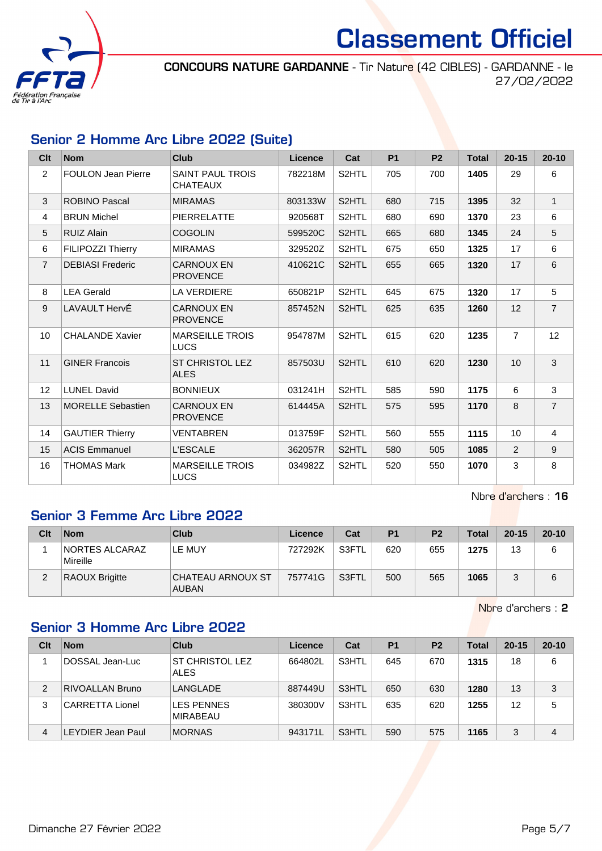

CONCOURS NATURE GARDANNE - Tir Nature (42 CIBLES) - GARDANNE - le 27/02/2022

## Senior 2 Homme Arc Libre 2022 (Suite)

| Clt             | <b>Nom</b>                | <b>Club</b>                                | <b>Licence</b> | Cat   | <b>P1</b> | P <sub>2</sub> | <b>Total</b> | $20 - 15$      | $20 - 10$      |
|-----------------|---------------------------|--------------------------------------------|----------------|-------|-----------|----------------|--------------|----------------|----------------|
| $\overline{2}$  | <b>FOULON Jean Pierre</b> | <b>SAINT PAUL TROIS</b><br><b>CHATEAUX</b> | 782218M        | S2HTL | 705       | 700            | 1405         | 29             | 6              |
| 3               | <b>ROBINO Pascal</b>      | <b>MIRAMAS</b>                             | 803133W        | S2HTL | 680       | 715            | 1395         | 32             | $\mathbf{1}$   |
| $\overline{4}$  | <b>BRUN Michel</b>        | <b>PIERRELATTE</b>                         | 920568T        | S2HTL | 680       | 690            | 1370         | 23             | 6              |
| 5               | <b>RUIZ Alain</b>         | <b>COGOLIN</b>                             | 599520C        | S2HTL | 665       | 680            | 1345         | 24             | 5              |
| 6               | <b>FILIPOZZI Thierry</b>  | <b>MIRAMAS</b>                             | 329520Z        | S2HTL | 675       | 650            | 1325         | 17             | 6              |
| $\overline{7}$  | <b>DEBIASI Frederic</b>   | <b>CARNOUX EN</b><br><b>PROVENCE</b>       | 410621C        | S2HTL | 655       | 665            | 1320         | 17             | 6              |
| 8               | <b>LEA Gerald</b>         | <b>LA VERDIERE</b>                         | 650821P        | S2HTL | 645       | 675            | 1320         | 17             | 5              |
| 9               | LAVAULT HervÉ             | <b>CARNOUX EN</b><br><b>PROVENCE</b>       | 857452N        | S2HTL | 625       | 635            | 1260         | 12             | $\overline{7}$ |
| 10 <sup>1</sup> | <b>CHALANDE Xavier</b>    | <b>MARSEILLE TROIS</b><br><b>LUCS</b>      | 954787M        | S2HTL | 615       | 620            | 1235         | $\overline{7}$ | 12             |
| 11              | <b>GINER Francois</b>     | <b>ST CHRISTOL LEZ</b><br><b>ALES</b>      | 857503U        | S2HTL | 610       | 620            | 1230         | 10             | 3              |
| 12              | <b>LUNEL David</b>        | <b>BONNIEUX</b>                            | 031241H        | S2HTL | 585       | 590            | 1175         | 6              | 3              |
| 13              | <b>MORELLE Sebastien</b>  | <b>CARNOUX EN</b><br><b>PROVENCE</b>       | 614445A        | S2HTL | 575       | 595            | 1170         | 8              | $\overline{7}$ |
| 14              | <b>GAUTIER Thierry</b>    | <b>VENTABREN</b>                           | 013759F        | S2HTL | 560       | 555            | 1115         | 10             | $\overline{4}$ |
| 15              | <b>ACIS Emmanuel</b>      | <b>L'ESCALE</b>                            | 362057R        | S2HTL | 580       | 505            | 1085         | 2              | 9              |
| 16              | <b>THOMAS Mark</b>        | <b>MARSEILLE TROIS</b><br><b>LUCS</b>      | 034982Z        | S2HTL | 520       | 550            | 1070         | 3              | 8              |

Nbre d'archers : 16

## Senior 3 Femme Arc Libre 2022

| Clt | <b>Nom</b>                        | Club                              | Licence | Cat                | P <sub>1</sub> | P <sub>2</sub> | <b>Total</b> | $20 - 15$ | $20 - 10$ |
|-----|-----------------------------------|-----------------------------------|---------|--------------------|----------------|----------------|--------------|-----------|-----------|
|     | <b>NORTES ALCARAZ</b><br>Mireille | LE MUY                            | 727292K | S3FTL <sup>®</sup> | 620            | 655            | 1275         | 13        |           |
|     | <b>RAOUX Brigitte</b>             | CHATEAU ARNOUX ST<br><b>AUBAN</b> | 757741G | S3FTL              | 500            | 565            | 1065         |           |           |

Nbre d'archers : 2

## Senior 3 Homme Arc Libre 2022

| Clt | <b>Nom</b>               | Club                           | Licence | Cat   | P <sub>1</sub> | P <sub>2</sub> | Total | $20 - 15$ | $20 - 10$ |
|-----|--------------------------|--------------------------------|---------|-------|----------------|----------------|-------|-----------|-----------|
|     | DOSSAL Jean-Luc          | ST CHRISTOL LEZ<br><b>ALES</b> | 664802L | S3HTL | 645            | 670            | 1315  | 18        | 6         |
| 2   | <b>RIVOALLAN Bruno</b>   | LANGLADE                       | 887449U | S3HTL | 650            | 630            | 1280  | 13        | 3         |
| 3   | CARRETTA Lionel          | <b>LES PENNES</b><br>MIRABEAU  | 380300V | S3HTL | 635            | 620            | 1255  | 12        | 5         |
| 4   | <b>LEYDIER Jean Paul</b> | <b>MORNAS</b>                  | 943171L | S3HTL | 590            | 575            | 1165  | 3         | 4         |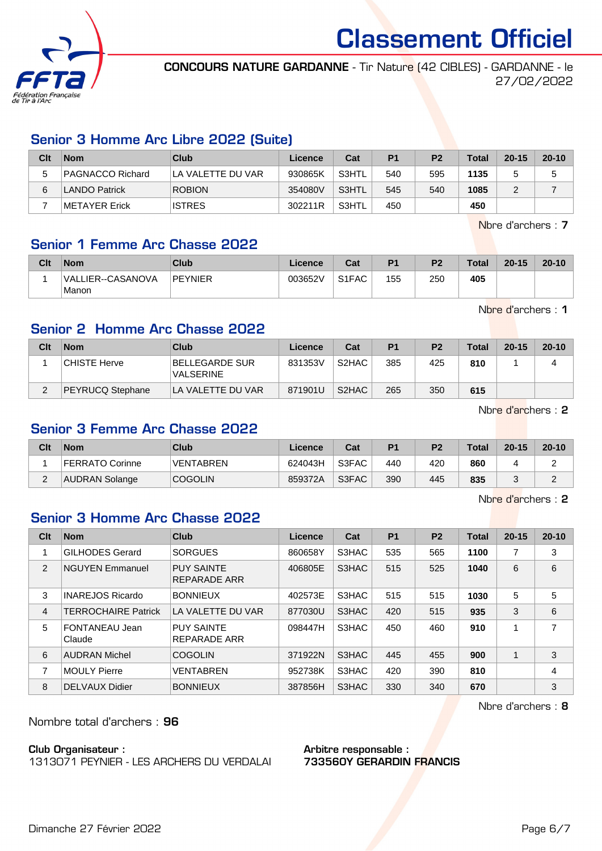

CONCOURS NATURE GARDANNE - Tir Nature (42 CIBLES) - GARDANNE - le 27/02/2022

## Senior 3 Homme Arc Libre 2022 (Suite)

| Clt | <b>Nom</b>       | Club               | Licence | Cat   | P <sub>1</sub> | P <sub>2</sub> | <b>Total</b> | $20 - 15$ | $20 - 10$ |
|-----|------------------|--------------------|---------|-------|----------------|----------------|--------------|-----------|-----------|
|     | PAGNACCO Richard | ILA VALETTE DU VAR | 930865K | S3HTL | 540            | 595            | 1135         |           |           |
| 6   | LANDO Patrick    | <b>ROBION</b>      | 354080V | S3HTL | 545            | 540            | 1085         |           |           |
|     | ∣METAYER Erick   | <b>ISTRES</b>      | 302211R | S3HTL | 450            |                | 450          |           |           |

Nbre d'archers : 7

#### Senior 1 Femme Arc Chasse 2022

| Clt | <b>Nom</b>                 | Club    | Licence | Cat                            | P <sub>1</sub> | P <sub>2</sub> | <b>Total</b> | $20 - 15$ | $20 - 10$ |
|-----|----------------------------|---------|---------|--------------------------------|----------------|----------------|--------------|-----------|-----------|
|     | VALLIER--CASANOVA<br>Manon | PEYNIER | 003652V | S <sub>1</sub> F <sub>AC</sub> | 155            | 250            | 405          |           |           |

Nbre d'archers : 1

## Senior 2 Homme Arc Chasse 2022

| Clt | <b>Nom</b>       | Club                                      | Licence | Cat                | P <sub>1</sub> | P <sub>2</sub> | <b>Total</b> | $20 - 15$ | $20 - 10$ |
|-----|------------------|-------------------------------------------|---------|--------------------|----------------|----------------|--------------|-----------|-----------|
|     | CHISTE Herve     | <b>BELLEGARDE SUR</b><br><b>VALSERINE</b> | 831353V | S <sub>2</sub> HAC | 385            | 425            | 810          |           |           |
|     | PEYRUCQ Stephane | LA VALETTE DU VAR                         | 871901U | S <sub>2</sub> HAC | 265            | 350            | 615          |           |           |

Nbre d'archers : 2

#### Senior 3 Femme Arc Chasse 2022

| Clt | <b>Nom</b>      | Club             | Licence | Cat   | P <sub>1</sub> | P <sub>2</sub> | <b>Total</b> | $20 - 15$ | $20 - 10$ |
|-----|-----------------|------------------|---------|-------|----------------|----------------|--------------|-----------|-----------|
|     | FERRATO Corinne | <b>VENTABREN</b> | 624043H | S3FAC | 440            | 420            | 860          |           |           |
| ∼   | AUDRAN Solange  | <b>COGOLIN</b>   | 859372A | S3FAC | 390            | 445            | 835          |           |           |

Nbre d'archers : 2

#### Senior 3 Homme Arc Chasse 2022

| Clt | <b>Nom</b>                 | <b>Club</b>                       | Licence | Cat   | <b>P1</b> | P <sub>2</sub> | <b>Total</b> | $20 - 15$ | $20 - 10$ |
|-----|----------------------------|-----------------------------------|---------|-------|-----------|----------------|--------------|-----------|-----------|
| 1   | <b>GILHODES Gerard</b>     | <b>SORGUES</b>                    | 860658Y | S3HAC | 535       | 565            | 1100         | 7         | 3         |
| 2   | <b>NGUYEN Emmanuel</b>     | <b>PUY SAINTE</b><br>REPARADE ARR | 406805E | S3HAC | 515       | 525            | 1040         | 6         | 6         |
| 3   | <b>INAREJOS Ricardo</b>    | <b>BONNIEUX</b>                   | 402573E | S3HAC | 515       | 515            | 1030         | 5         | 5         |
| 4   | <b>TERROCHAIRE Patrick</b> | LA VALETTE DU VAR                 | 877030U | S3HAC | 420       | 515            | 935          | 3         | 6         |
| 5   | FONTANEAU Jean<br>Claude   | <b>PUY SAINTE</b><br>REPARADE ARR | 098447H | S3HAC | 450       | 460            | 910          | 1         | 7         |
| 6   | <b>AUDRAN Michel</b>       | <b>COGOLIN</b>                    | 371922N | S3HAC | 445       | 455            | 900          |           | 3         |
| 7   | <b>MOULY Pierre</b>        | <b>VENTABREN</b>                  | 952738K | S3HAC | 420       | 390            | 810          |           | 4         |
| 8   | <b>DELVAUX Didier</b>      | <b>BONNIEUX</b>                   | 387856H | S3HAC | 330       | 340            | 670          |           | 3         |

Nbre d'archers : 8

Nombre total d'archers : 96

#### Club Organisateur :

1313071 PEYNIER - LES ARCHERS DU VERDALAI

#### Arbitre responsable : 733560Y GERARDIN FRANCIS